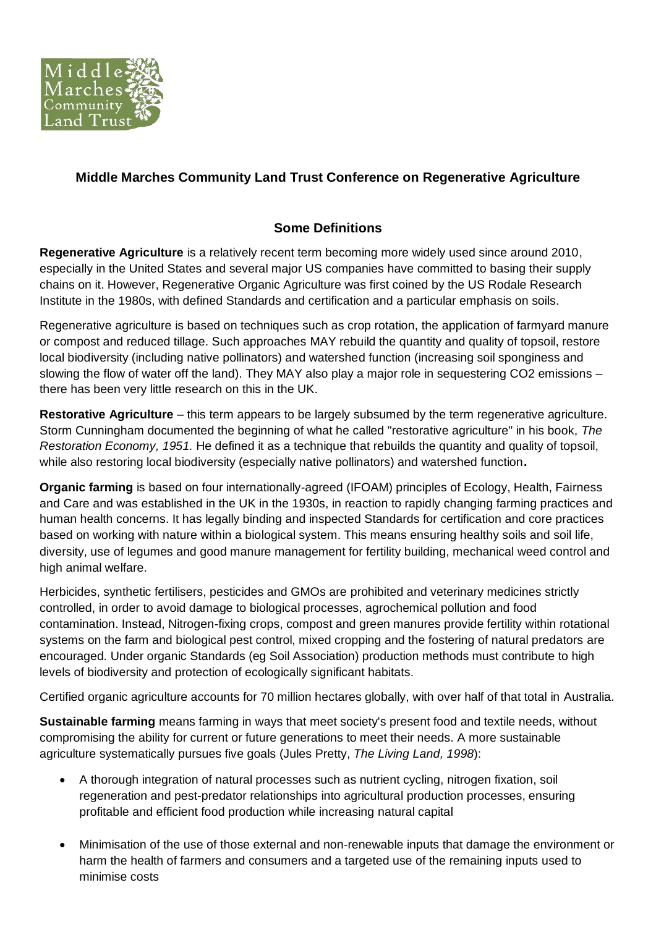

## **Middle Marches Community Land Trust Conference on Regenerative Agriculture**

## **Some Definitions**

**Regenerative Agriculture** is a relatively recent term becoming more widely used since around 2010, especially in the United States and several major US companies have committed to basing their supply chains on it. However, Regenerative Organic Agriculture was first coined by the US Rodale Research Institute in the 1980s, with defined Standards and certification and a particular emphasis on soils.

Regenerative agriculture is based on techniques such as crop rotation, the application of farmyard manure or compost and reduced tillage. Such approaches MAY rebuild the quantity and quality of topsoil, restore local biodiversity (including native pollinators) and watershed function (increasing soil sponginess and slowing the flow of water off the land). They MAY also play a major role in sequestering CO2 emissions – there has been very little research on this in the UK.

**Restorative Agriculture** – this term appears to be largely subsumed by the term regenerative agriculture. Storm Cunningham documented the beginning of what he called "restorative agriculture" in his book, *The Restoration Economy, 1951.* He defined it as a technique that rebuilds the quantity and quality of topsoil, while also restoring local biodiversity (especially native pollinators) and watershed function**.**

**Organic farming** is based on four internationally-agreed (IFOAM) principles of Ecology, Health, Fairness and Care and was established in the UK in the 1930s, in reaction to rapidly changing farming practices and human health concerns. It has legally binding and inspected Standards for certification and core practices based on working with nature within a biological system. This means ensuring healthy soils and soil life, diversity, use of legumes and good manure management for fertility building, mechanical weed control and high animal welfare.

Herbicides, synthetic fertilisers, pesticides and GMOs are prohibited and veterinary medicines strictly controlled, in order to avoid damage to biological processes, agrochemical pollution and food contamination. Instead, Nitrogen-fixing crops, compost and green manures provide fertility within rotational systems on the farm and biological pest control, mixed cropping and the fostering of natural predators are encouraged*.* Under organic Standards (eg Soil Association) production methods must contribute to high levels of biodiversity and protection of ecologically significant habitats.

Certified organic agriculture accounts for 70 million hectares globally, with over half of that total in Australia.

**Sustainable farming** means farming in ways that meet society's present food and textile needs, without compromising the ability for current or future generations to meet their needs. A more sustainable agriculture systematically pursues five goals (Jules Pretty, *The Living Land, 1998*):

- A thorough integration of natural processes such as nutrient cycling, nitrogen fixation, soil regeneration and pest-predator relationships into agricultural production processes, ensuring profitable and efficient food production while increasing natural capital
- Minimisation of the use of those external and non-renewable inputs that damage the environment or harm the health of farmers and consumers and a targeted use of the remaining inputs used to minimise costs